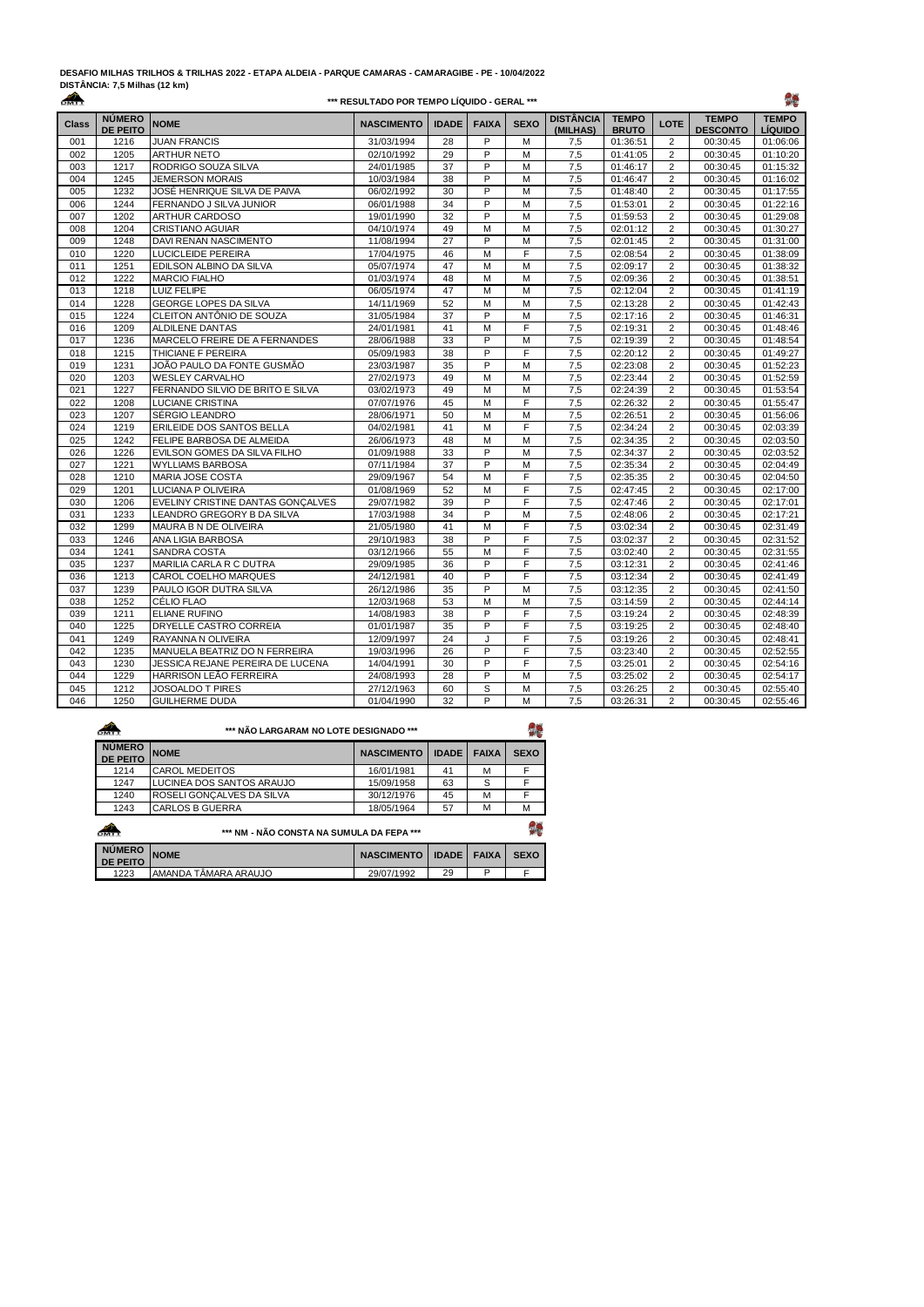## **DESAFIO MILHAS TRILHOS & TRILHAS 2022 - ETAPA ALDEIA - PARQUE CAMARAS - CAMARAGIBE - PE - 10/04/2022**

| DISTANCIA: 7,5 Milhas (12 km) |  |  |
|-------------------------------|--|--|
| ക                             |  |  |

## **\*\*\* RESULTADO POR TEMPO LÍQUIDO - GERAL \*\*\***



| <b>Class</b> | <b>NÚMERO</b><br><b>DE PEITO</b> | <b>NOME</b>                       | <b>NASCIMENTO</b> | <b>IDADE</b> | <b>FAIXA</b>   | <b>SEXO</b> | <b>DISTÂNCIA</b><br>(MILHAS) | <b>TEMPO</b><br><b>BRUTO</b> | LOTE           | <b>TEMPO</b><br><b>DESCONTO</b> | <b>TEMPO</b><br>LÍQUIDO |
|--------------|----------------------------------|-----------------------------------|-------------------|--------------|----------------|-------------|------------------------------|------------------------------|----------------|---------------------------------|-------------------------|
| 001          | 1216                             | <b>JUAN FRANCIS</b>               | 31/03/1994        | 28           | P              | M           | 7,5                          | 01:36:51                     | $\overline{2}$ | 00:30:45                        | 01:06:06                |
| 002          | 1205                             | <b>ARTHUR NETO</b>                | 02/10/1992        | 29           | P              | M           | 7,5                          | 01:41:05                     | $\overline{2}$ | 00:30:45                        | 01:10:20                |
| 003          | 1217                             | RODRIGO SOUZA SILVA               | 24/01/1985        | 37           | P              | M           | 7,5                          | 01:46:17                     | $\overline{2}$ | 00:30:45                        | 01:15:32                |
| 004          | 1245                             | <b>JEMERSON MORAIS</b>            | 10/03/1984        | 38           | P              | M           | 7,5                          | 01:46:47                     | $\overline{2}$ | 00:30:45                        | 01:16:02                |
| 005          | 1232                             | JOSÉ HENRIQUE SILVA DE PAIVA      | 06/02/1992        | 30           | P              | M           | 7,5                          | 01:48:40                     | $\overline{c}$ | 00:30:45                        | 01:17:55                |
| 006          | 1244                             | FERNANDO J SILVA JUNIOR           | 06/01/1988        | 34           | P              | M           | 7,5                          | 01:53:01                     | $\overline{2}$ | 00:30:45                        | 01:22:16                |
| 007          | 1202                             | ARTHUR CARDOSO                    | 19/01/1990        | 32           | P              | M           | 7,5                          | 01:59:53                     | $\overline{2}$ | 00:30:45                        | 01:29:08                |
| 008          | 1204                             | <b>CRISTIANO AGUIAR</b>           | 04/10/1974        | 49           | M              | M           | 7,5                          | 02:01:12                     | $\overline{2}$ | 00:30:45                        | 01:30:27                |
| 009          | 1248                             | DAVI RENAN NASCIMENTO             | 11/08/1994        | 27           | P              | M           | 7,5                          | 02:01:45                     | $\overline{2}$ | 00:30:45                        | 01:31:00                |
| 010          | 1220                             | LUCICLEIDE PEREIRA                | 17/04/1975        | 46           | M              | F           | 7,5                          | 02:08:54                     | $\overline{2}$ | 00:30:45                        | 01:38:09                |
| 011          | 1251                             | EDILSON ALBINO DA SILVA           | 05/07/1974        | 47           | M              | M           | 7,5                          | 02:09:17                     | $\overline{2}$ | 00:30:45                        | 01:38:32                |
| 012          | 1222                             | <b>MARCIO FIALHO</b>              | 01/03/1974        | 48           | M              | M           | 7,5                          | 02:09:36                     | $\overline{2}$ | 00:30:45                        | 01:38:51                |
| 013          | 1218                             | <b>LUIZ FELIPE</b>                | 06/05/1974        | 47           | M              | M           | 7,5                          | 02:12:04                     | $\overline{2}$ | 00:30:45                        | 01:41:19                |
| 014          | 1228                             | <b>GEORGE LOPES DA SILVA</b>      | 14/11/1969        | 52           | M              | M           | 7,5                          | 02:13:28                     | $\overline{2}$ | 00:30:45                        | 01:42:43                |
| 015          | 1224                             | CLEITON ANTÔNIO DE SOUZA          | 31/05/1984        | 37           | $\overline{P}$ | M           | 7,5                          | 02:17:16                     | $\overline{2}$ | 00:30:45                        | 01:46:31                |
| 016          | 1209                             | <b>ALDILENE DANTAS</b>            | 24/01/1981        | 41           | M              | F           | 7,5                          | 02:19:31                     | $\overline{2}$ | 00:30:45                        | 01:48:46                |
| 017          | 1236                             | MARCELO FREIRE DE A FERNANDES     | 28/06/1988        | 33           | P              | M           | 7,5                          | 02:19:39                     | $\overline{2}$ | 00:30:45                        | 01:48:54                |
| 018          | 1215                             | THICIANE F PEREIRA                | 05/09/1983        | 38           | P              | F           | 7,5                          | 02:20:12                     | $\overline{2}$ | 00:30:45                        | 01:49:27                |
| 019          | 1231                             | JOÃO PAULO DA FONTE GUSMÃO        | 23/03/1987        | 35           | P              | M           | 7,5                          | 02:23:08                     | $\overline{2}$ | 00:30:45                        | 01:52:23                |
| 020          | 1203                             | <b>WESLEY CARVALHO</b>            | 27/02/1973        | 49           | M              | M           | 7,5                          | 02:23:44                     | $\overline{2}$ | 00:30:45                        | 01:52:59                |
| 021          | 1227                             | FERNANDO SILVIO DE BRITO E SILVA  | 03/02/1973        | 49           | M              | M           | 7,5                          | 02:24:39                     | $\overline{2}$ | 00:30:45                        | 01:53:54                |
| 022          | 1208                             | <b>LUCIANE CRISTINA</b>           | 07/07/1976        | 45           | M              | F           | 7,5                          | 02:26:32                     | $\overline{2}$ | 00:30:45                        | 01:55:47                |
| 023          | 1207                             | SÉRGIO LEANDRO                    | 28/06/1971        | 50           | M              | M           | 7,5                          | 02:26:51                     | $\overline{2}$ | 00:30:45                        | 01:56:06                |
| 024          | 1219                             | ERILEIDE DOS SANTOS BELLA         | 04/02/1981        | 41           | M              | F           | 7,5                          | 02:34:24                     | $\overline{2}$ | 00:30:45                        | 02:03:39                |
| 025          | 1242                             | FELIPE BARBOSA DE ALMEIDA         | 26/06/1973        | 48           | M              | M           | 7,5                          | 02:34:35                     | $\overline{2}$ | 00:30:45                        | 02:03:50                |
| 026          | 1226                             | EVILSON GOMES DA SILVA FILHO      | 01/09/1988        | 33           | $\overline{P}$ | M           | 7,5                          | 02:34:37                     | $\overline{2}$ | 00:30:45                        | 02:03:52                |
| 027          | 1221                             | <b>WYLLIAMS BARBOSA</b>           | 07/11/1984        | 37           | P              | M           | 7,5                          | 02:35:34                     | $\overline{2}$ | 00:30:45                        | 02:04:49                |
| 028          | 1210                             | <b>MARIA JOSE COSTA</b>           | 29/09/1967        | 54           | M              | F           | 7,5                          | 02:35:35                     | $\overline{2}$ | 00:30:45                        | 02:04:50                |
| 029          | 1201                             | LUCIANA P OLIVEIRA                | 01/08/1969        | 52           | M              | F           | 7,5                          | 02:47:45                     | $\overline{2}$ | 00:30:45                        | 02:17:00                |
| 030          | 1206                             | EVELINY CRISTINE DANTAS GONCALVES | 29/07/1982        | 39           | P              | F           | 7.5                          | 02:47:46                     | $\overline{2}$ | 00:30:45                        | 02:17:01                |
| 031          | 1233                             | LEANDRO GREGORY B DA SILVA        | 17/03/1988        | 34           | P              | M           | 7,5                          | 02:48:06                     | $\overline{2}$ | 00:30:45                        | 02:17:21                |
| 032          | 1299                             | MAURA B N DE OLIVEIRA             | 21/05/1980        | 41           | M              | F           | 7,5                          | 03:02:34                     | $\overline{2}$ | 00:30:45                        | 02:31:49                |
| 033          | 1246                             | ANA LIGIA BARBOSA                 | 29/10/1983        | 38           | P              | F           | 7,5                          | 03:02:37                     | $\overline{2}$ | 00:30:45                        | 02:31:52                |
| 034          | 1241                             | SANDRA COSTA                      | 03/12/1966        | 55           | M              | F           | 7,5                          | 03:02:40                     | $\overline{c}$ | 00:30:45                        | 02:31:55                |
| 035          | 1237                             | MARILIA CARLA R C DUTRA           | 29/09/1985        | 36           | P              | F           | 7,5                          | 03:12:31                     | $\overline{c}$ | 00:30:45                        | 02:41:46                |
| 036          | 1213                             | CAROL COELHO MARQUES              | 24/12/1981        | 40           | P              | F           | 7,5                          | 03:12:34                     | $\overline{2}$ | 00:30:45                        | 02:41:49                |
| 037          | 1239                             | PAULO IGOR DUTRA SILVA            | 26/12/1986        | 35           | P              | M           | 7,5                          | 03:12:35                     | $\overline{2}$ | 00:30:45                        | 02:41:50                |
| 038          | 1252                             | CÉLIO FLAO                        | 12/03/1968        | 53           | M              | M           | 7,5                          | 03:14:59                     | $\overline{2}$ | 00:30:45                        | 02:44:14                |
| 039          | 1211                             | <b>ELIANE RUFINO</b>              | 14/08/1983        | 38           | P              | F           | 7,5                          | 03:19:24                     | $\overline{2}$ | 00:30:45                        | 02:48:39                |
| 040          | 1225                             | DRYELLE CASTRO CORREIA            | 01/01/1987        | 35           | P              | F           | 7,5                          | 03:19:25                     | $\overline{2}$ | 00:30:45                        | 02:48:40                |
| 041          | 1249                             | RAYANNA N OLIVEIRA                | 12/09/1997        | 24           | J.             | F           | 7,5                          | 03:19:26                     | $\overline{2}$ | 00:30:45                        | 02:48:41                |
| 042          | 1235                             | MANUELA BEATRIZ DO N FERREIRA     | 19/03/1996        | 26           | P              | F           | 7,5                          | 03:23:40                     | $\overline{2}$ | 00:30:45                        | 02:52:55                |
| 043          | 1230                             | JESSICA REJANE PEREIRA DE LUCENA  | 14/04/1991        | 30           | P              | F           | 7,5                          | 03:25:01                     | $\overline{2}$ | 00:30:45                        | 02:54:16                |
| 044          | 1229                             | HARRISON LEÃO FERREIRA            | 24/08/1993        | 28           | $\overline{P}$ | M           | 7,5                          | 03:25:02                     | $\overline{2}$ | 00:30:45                        | 02:54:17                |
| 045          | 1212                             | <b>JOSOALDO T PIRES</b>           | 27/12/1963        | 60           | S              | M           | 7,5                          | 03:26:25                     | $\overline{2}$ | 00:30:45                        | 02:55:40                |
| 046          | 1250                             | <b>GUILHERME DUDA</b>             | 01/04/1990        | 32           | P              | M           | 7,5                          | 03:26:31                     | $\overline{2}$ | 00:30:45                        | 02:55:46                |

| owt                              | *** NÃO LARGARAM NO LOTE DESIGNADO *** |                   |              |              | 94          |
|----------------------------------|----------------------------------------|-------------------|--------------|--------------|-------------|
| <b>NÚMERO</b><br><b>DE PEITO</b> | <b>NOME</b>                            | <b>NASCIMENTO</b> | <b>IDADE</b> | <b>FAIXA</b> | <b>SEXO</b> |
| 1214                             | <b>CAROL MEDEITOS</b>                  | 16/01/1981        | 41           | M            |             |
| 1247                             | LUCINEA DOS SANTOS ARAUJO              | 15/09/1958        | 63           | S            |             |
| 1240                             | ROSELI GONCALVES DA SILVA              | 30/12/1976        | 45           | M            |             |
| 1243                             | <b>CARLOS B GUERRA</b>                 | 18/05/1964        | 57           | M            | м           |
|                                  |                                        |                   |              |              | 易越          |

| ov.                              | *** NM - NÃO CONSTA NA SUMULA DA FEPA *** |                              |    |   |             |  |  |  |  |
|----------------------------------|-------------------------------------------|------------------------------|----|---|-------------|--|--|--|--|
| <b>NÚMERO</b><br><b>DE PEITO</b> | <b>NOME</b>                               | NASCIMENTO I IDADE I FAIXA I |    |   | <b>SEXO</b> |  |  |  |  |
| 1223                             | AMANDA TÂMARA ARAUJO                      | 29/07/1992                   | 29 | D |             |  |  |  |  |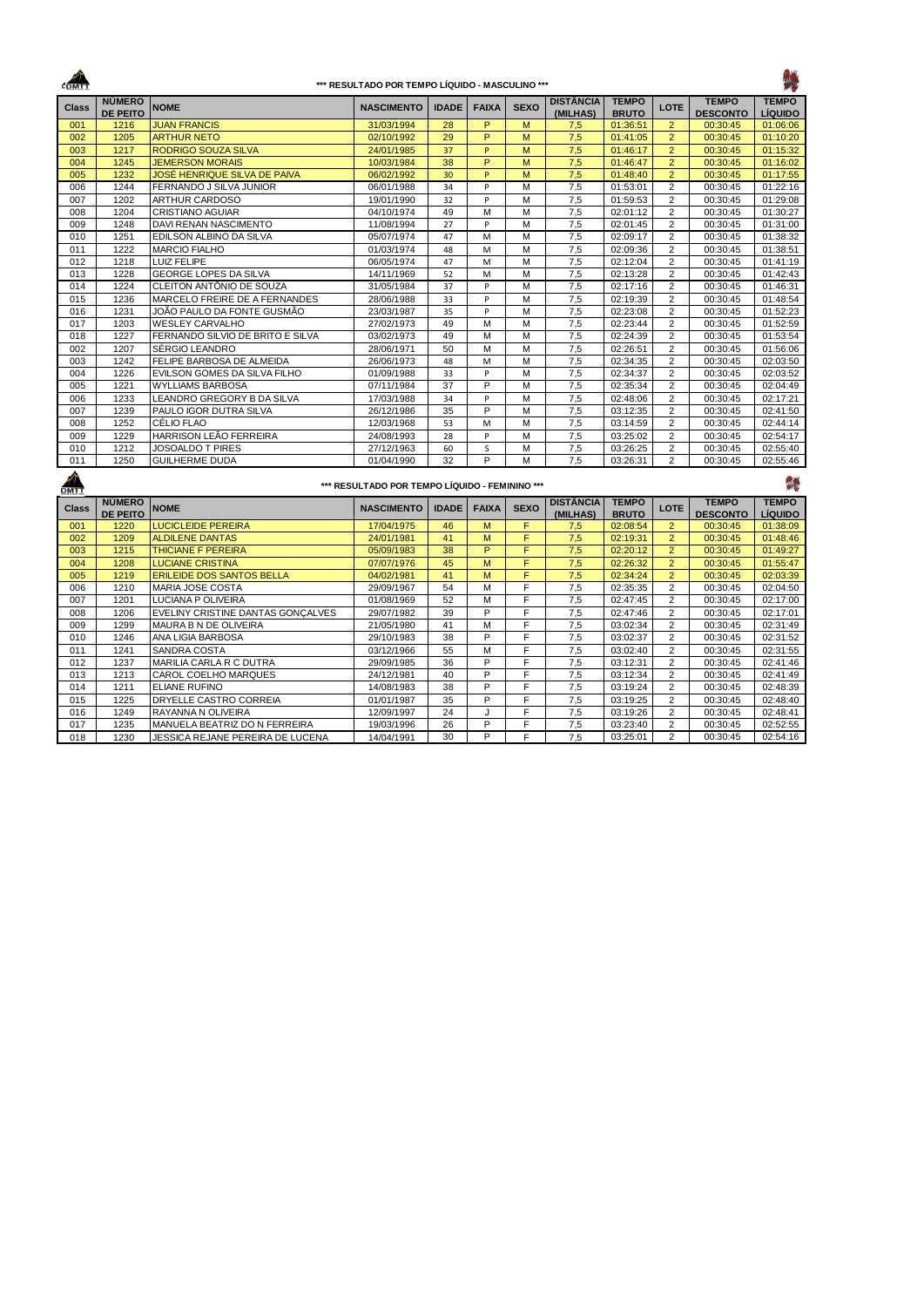$\frac{1}{2}$ 

## **\*\*\* RESULTADO POR TEMPO LÍQUIDO - MASCULINO \*\*\***

## 瓣

| <b>Class</b> | <b>NÚMERO</b>                    | <b>NOME</b>                       | <b>NASCIMENTO</b>                              | <b>IDADE</b> | <b>FAIXA</b>   | <b>SEXO</b>    | <b>DISTÂNCIA</b>             | <b>TEMPO</b>                 | <b>LOTE</b>    | <b>TEMPO</b>                    | <b>TEMPO</b>                   |
|--------------|----------------------------------|-----------------------------------|------------------------------------------------|--------------|----------------|----------------|------------------------------|------------------------------|----------------|---------------------------------|--------------------------------|
|              | <b>DE PEITO</b>                  |                                   |                                                |              |                |                | (MILHAS)                     | <b>BRUTO</b>                 |                | <b>DESCONTO</b>                 | <b>LÍQUIDO</b>                 |
| 001          | 1216                             | <b>JUAN FRANCIS</b>               | 31/03/1994                                     | 28           | P              | M              | 7,5                          | 01:36:51                     | $\overline{2}$ | 00:30:45                        | 01:06:06                       |
| 002          | 1205                             | <b>ARTHUR NETO</b>                | 02/10/1992                                     | 29           | $\overline{P}$ | M              | 7,5                          | 01:41:05                     | $\overline{2}$ | 00:30:45                        | 01:10:20                       |
| 003          | 1217                             | <b>RODRIGO SOUZA SILVA</b>        | 24/01/1985                                     | 37           | P              | M              | 7,5                          | 01:46:17                     | $\overline{2}$ | 00:30:45                        | 01:15:32                       |
| 004          | 1245                             | <b>JEMERSON MORAIS</b>            | 10/03/1984                                     | 38           | $\overline{P}$ | M              | 7,5                          | 01:46:47                     | $\overline{2}$ | 00:30:45                        | 01:16:02                       |
| 005          | 1232                             | JOSÉ HENRIQUE SILVA DE PAIVA      | 06/02/1992                                     | 30           | P              | M              | 7,5                          | 01:48:40                     | $\overline{2}$ | 00:30:45                        | 01:17:55                       |
| 006          | 1244                             | FERNANDO J SILVA JUNIOR           | 06/01/1988                                     | 34           | P              | M              | 7,5                          | 01:53:01                     | $\overline{2}$ | 00:30:45                        | 01:22:16                       |
| 007          | 1202                             | ARTHUR CARDOSO                    | 19/01/1990                                     | 32           | p              | M              | 7,5                          | 01:59:53                     | $\overline{2}$ | 00:30:45                        | 01:29:08                       |
| 008          | 1204                             | CRISTIANO AGUIAR                  | 04/10/1974                                     | 49           | М              | M              | 7,5                          | 02:01:12                     | $\overline{2}$ | 00:30:45                        | 01:30:27                       |
| 009          | 1248                             | DAVI RENAN NASCIMENTO             | 11/08/1994                                     | 27           | P              | M              | 7,5                          | 02:01:45                     | $\overline{2}$ | 00:30:45                        | 01:31:00                       |
| 010          | 1251                             | EDILSON ALBINO DA SILVA           | 05/07/1974                                     | 47           | M              | M              | 7,5                          | 02:09:17                     | $\overline{2}$ | 00:30:45                        | 01:38:32                       |
| 011          | 1222                             | <b>MARCIO FIALHO</b>              | 01/03/1974                                     | 48           | M              | M              | 7,5                          | 02:09:36                     | 2              | 00:30:45                        | 01:38:51                       |
| 012          | 1218                             | LUIZ FELIPE                       | 06/05/1974                                     | 47           | M              | M              | 7,5                          | 02:12:04                     | $\overline{2}$ | 00:30:45                        | 01:41:19                       |
| 013          | 1228                             | GEORGE LOPES DA SILVA             | 14/11/1969                                     | 52           | M              | M              | 7,5                          | 02:13:28                     | $\overline{2}$ | 00:30:45                        | 01:42:43                       |
| 014          | 1224                             | CLEITON ANTÔNIO DE SOUZA          | 31/05/1984                                     | 37           | P              | M              | 7,5                          | 02:17:16                     | $\overline{2}$ | 00:30:45                        | 01:46:31                       |
| 015          | 1236                             | MARCELO FREIRE DE A FERNANDES     | 28/06/1988                                     | 33           | P              | M              | 7.5                          | 02:19:39                     | 2              | 00:30:45                        | 01:48:54                       |
| 016          | 1231                             | JOÃO PAULO DA FONTE GUSMÃO        | 23/03/1987                                     | 35           | P              | M              | 7,5                          | 02:23:08                     | $\overline{2}$ | 00:30:45                        | 01:52:23                       |
| 017          | 1203                             | <b>WESLEY CARVALHO</b>            | 27/02/1973                                     | 49           | M              | M              | 7,5                          | 02:23:44                     | $\overline{2}$ | 00:30:45                        | 01:52:59                       |
| 018          | 1227                             | FERNANDO SILVIO DE BRITO E SILVA  | 03/02/1973                                     | 49           | М              | M              | 7,5                          | 02:24:39                     | $\overline{2}$ | 00:30:45                        | 01:53:54                       |
| 002          | 1207                             | SÉRGIO LEANDRO                    | 28/06/1971                                     | 50           | M              | M              | 7,5                          | 02:26:51                     | 2              | 00:30:45                        | 01:56:06                       |
| 003          | 1242                             | FELIPE BARBOSA DE ALMEIDA         | 26/06/1973                                     | 48           | M              | M              | 7,5                          | 02:34:35                     | $\overline{2}$ | 00:30:45                        | 02:03:50                       |
| 004          | 1226                             | EVILSON GOMES DA SILVA FILHO      | 01/09/1988                                     | 33           | P              | M              | 7,5                          | 02:34:37                     | 2              | 00:30:45                        | 02:03:52                       |
| 005          | 1221                             | <b>WYLLIAMS BARBOSA</b>           | 07/11/1984                                     | 37           | $\overline{P}$ | M              | 7,5                          | 02:35:34                     | $\overline{2}$ | 00:30:45                        | 02:04:49                       |
| 006          | 1233                             | LEANDRO GREGORY B DA SILVA        | 17/03/1988                                     | 34           | P              | M              | 7,5                          | 02:48:06                     | 2              | 00:30:45                        | 02:17:21                       |
| 007          | 1239                             | PAULO IGOR DUTRA SILVA            | 26/12/1986                                     | 35           | P              | M              | 7,5                          | 03:12:35                     | $\overline{2}$ | 00:30:45                        | 02:41:50                       |
| 008          | 1252                             | CÉLIO FLAO                        | 12/03/1968                                     | 53           | M              | M              | 7,5                          | 03:14:59                     | 2              | 00:30:45                        | 02:44:14                       |
| 009          | 1229                             | HARRISON LEÃO FERREIRA            | 24/08/1993                                     | 28           | P              | M              | 7,5                          | 03:25:02                     | $\overline{2}$ | 00:30:45                        | 02:54:17                       |
| 010          | 1212                             | <b>JOSOALDO T PIRES</b>           | 27/12/1963                                     | 60           | S              | M              | 7,5                          | 03:26:25                     | $\overline{2}$ | 00:30:45                        | 02:55:40                       |
| 011          | 1250                             | <b>GUILHERME DUDA</b>             | 01/04/1990                                     | 32           | P              | M              | 7,5                          | 03:26:31                     | $\overline{2}$ | 00:30:45                        | 02:55:46                       |
|              |                                  |                                   |                                                |              |                |                |                              |                              |                |                                 |                                |
| <b>DMTT</b>  |                                  |                                   | *** RESULTADO POR TEMPO LÍQUIDO - FEMININO *** |              |                |                |                              |                              |                |                                 | 24                             |
| <b>Class</b> | <b>NÚMERO</b><br><b>DE PEITO</b> | <b>NOME</b>                       | <b>NASCIMENTO</b>                              | <b>IDADE</b> | <b>FAIXA</b>   | <b>SEXO</b>    | <b>DISTÂNCIA</b><br>(MILHAS) | <b>TEMPO</b><br><b>BRUTO</b> | LOTE           | <b>TEMPO</b><br><b>DESCONTO</b> | <b>TEMPO</b><br><b>LÍQUIDO</b> |
| 001          | 1220                             | <b>LUCICLEIDE PEREIRA</b>         | 17/04/1975                                     | 46           | M              | F              | 7,5                          | 02:08:54                     | $\overline{2}$ | 00:30:45                        | 01:38:09                       |
| 002          | 1209                             | <b>ALDILENE DANTAS</b>            | 24/01/1981                                     | 41           | M              | F              | 7,5                          | 02:19:31                     | $\overline{2}$ | 00:30:45                        | 01:48:46                       |
| 003          | 1215                             | THICIANE F PEREIRA                | 05/09/1983                                     | 38           | P              | $\overline{F}$ | 7,5                          | 02:20:12                     | $\overline{2}$ | 00:30:45                        | 01:49:27                       |
| 004          | 1208                             | <b>LUCIANE CRISTINA</b>           | 07/07/1976                                     | 45           | M              | F              | 7,5                          | 02:26:32                     | $\overline{2}$ | 00:30:45                        | 01:55:47                       |
| 005          | 1219                             | <b>ERILEIDE DOS SANTOS BELLA</b>  | 04/02/1981                                     | 41           | M              | F              | 7,5                          | 02:34:24                     | $\overline{2}$ | 00:30:45                        | 02:03:39                       |
| 006          | 1210                             | MARIA JOSE COSTA                  | 29/09/1967                                     | 54           | M              | F              | 7,5                          | 02:35:35                     | $\overline{2}$ | 00:30:45                        | 02:04:50                       |
| 007          | 1201                             | LUCIANA P OLIVEIRA                | 01/08/1969                                     | 52           | M              | F              | 7,5                          | 02:47:45                     | $\overline{2}$ | 00:30:45                        | 02:17:00                       |
| 008          | 1206                             | EVELINY CRISTINE DANTAS GONCALVES | 29/07/1982                                     | 39           | $\overline{P}$ | F              | 7,5                          | 02:47:46                     | $\overline{2}$ | 00:30:45                        | 02:17:01                       |
|              |                                  |                                   |                                                |              | M              | F              |                              |                              |                |                                 |                                |
| 009          | 1299                             | MAURA B N DE OLIVEIRA             | 21/05/1980                                     | 41           | $\overline{P}$ | F              | 7,5                          | 03:02:34                     | $\overline{2}$ | 00:30:45                        | 02:31:49                       |
| 010          | 1246                             | ANA LIGIA BARBOSA                 | 29/10/1983                                     | 38           |                |                | 7,5                          | 03:02:37                     | $\overline{2}$ | 00:30:45                        | 02:31:52                       |
| 011          | 1241                             | SANDRA COSTA                      | 03/12/1966                                     | 55           | M              | F              | 7,5                          | 03:02:40                     | $\overline{2}$ | 00:30:45                        | 02:31:55                       |
| 012          | 1237                             | MARILIA CARLA R C DUTRA           | 29/09/1985                                     | 36           | P              | F              | 7,5                          | 03:12:31                     | $\overline{2}$ | 00:30:45                        | 02:41:46                       |
| 013          | 1213                             | CAROL COELHO MARQUES              | 24/12/1981                                     | 40           | $\overline{P}$ | F              | 7,5                          | 03:12:34                     | 2              | 00:30:45                        | 02:41:49                       |
| 014          | 1211                             | <b>ELIANE RUFINO</b>              | 14/08/1983                                     | 38           | P              | E              | 7,5                          | 03:19:24                     | $\overline{2}$ | 00:30:45                        | 02:48:39                       |
| 015          | 1225                             | DRYELLE CASTRO CORREIA            | 01/01/1987                                     | 35           | P              | F              | 7,5                          | 03:19:25                     | 2              | 00:30:45                        | 02:48:40                       |
| 016          | 1249                             | RAYANNA N OLIVEIRA                | 12/09/1997                                     | 24           | J.             | F              | 7,5                          | 03:19:26                     | $\overline{2}$ | 00:30:45                        | 02:48:41                       |

1235 MANUELA BEATRIZ DO N FERREIRA 19/03/1996 26 P F 7,5 03:23:40 2 00:30:45 02:52:55 018 1230 JESSICA REJANE PEREIRA DE LUCENA 14/04/1991 30 P F 7,5 03:25:01 2 00:30:45 02:54:16